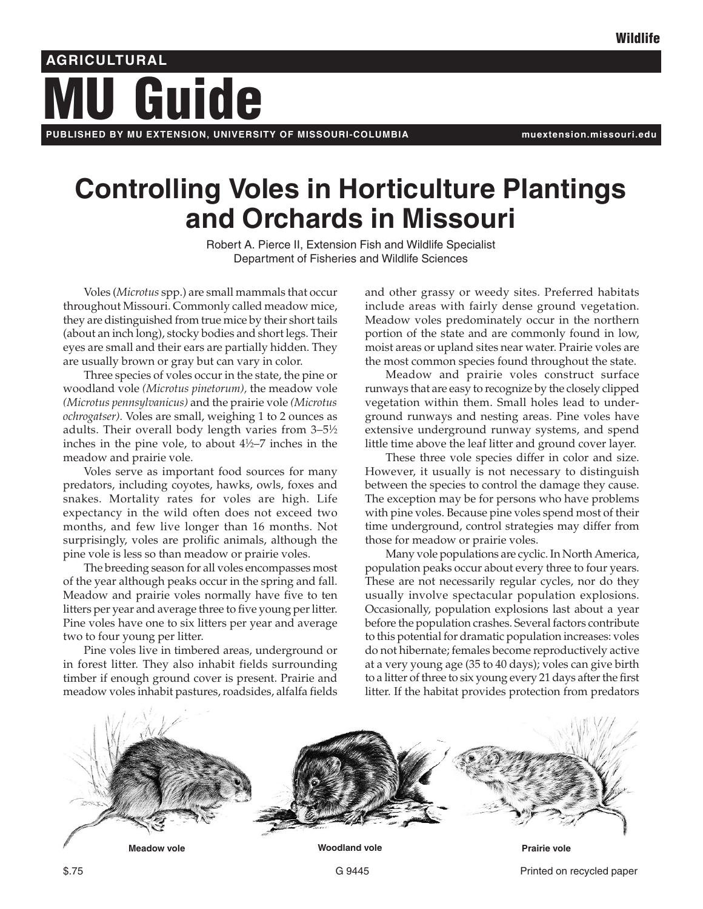# **Guide AGRICULTURAL**

**PUBLISHED BY MU EXTENSION, UNIVERSITY OF MISSOURI-COLUMBIA muextension.missouri.edu**

# **Controlling Voles in Horticulture Plantings and Orchards in Missouri**

Robert A. Pierce II, Extension Fish and Wildlife Specialist Department of Fisheries and Wildlife Sciences

Voles (*Microtus* spp.) are small mammals that occur throughout Missouri. Commonly called meadow mice, they are distinguished from true mice by their short tails (about an inch long), stocky bodies and short legs. Their eyes are small and their ears are partially hidden. They are usually brown or gray but can vary in color.

Three species of voles occur in the state, the pine or woodland vole *(Microtus pinetorum),* the meadow vole *(Microtus pennsylvanicus)* and the prairie vole *(Microtus ochrogatser).* Voles are small, weighing 1 to 2 ounces as adults. Their overall body length varies from 3–5½ inches in the pine vole, to about  $4\frac{1}{2}$ –7 inches in the meadow and prairie vole.

Voles serve as important food sources for many predators, including coyotes, hawks, owls, foxes and snakes. Mortality rates for voles are high. Life expectancy in the wild often does not exceed two months, and few live longer than 16 months. Not surprisingly, voles are prolific animals, although the pine vole is less so than meadow or prairie voles.

The breeding season for all voles encompasses most of the year although peaks occur in the spring and fall. Meadow and prairie voles normally have five to ten litters per year and average three to five young per litter. Pine voles have one to six litters per year and average two to four young per litter.

Pine voles live in timbered areas, underground or in forest litter. They also inhabit fields surrounding timber if enough ground cover is present. Prairie and meadow voles inhabit pastures, roadsides, alfalfa fields and other grassy or weedy sites. Preferred habitats include areas with fairly dense ground vegetation. Meadow voles predominately occur in the northern portion of the state and are commonly found in low, moist areas or upland sites near water. Prairie voles are the most common species found throughout the state.

Meadow and prairie voles construct surface runways that are easy to recognize by the closely clipped vegetation within them. Small holes lead to underground runways and nesting areas. Pine voles have extensive underground runway systems, and spend little time above the leaf litter and ground cover layer.

These three vole species differ in color and size. However, it usually is not necessary to distinguish between the species to control the damage they cause. The exception may be for persons who have problems with pine voles. Because pine voles spend most of their time underground, control strategies may differ from those for meadow or prairie voles.

Many vole populations are cyclic. In North America, population peaks occur about every three to four years. These are not necessarily regular cycles, nor do they usually involve spectacular population explosions. Occasionally, population explosions last about a year before the population crashes. Several factors contribute to this potential for dramatic population increases: voles do not hibernate; females become reproductively active at a very young age (35 to 40 days); voles can give birth to a litter of three to six young every 21 days after the first litter. If the habitat provides protection from predators

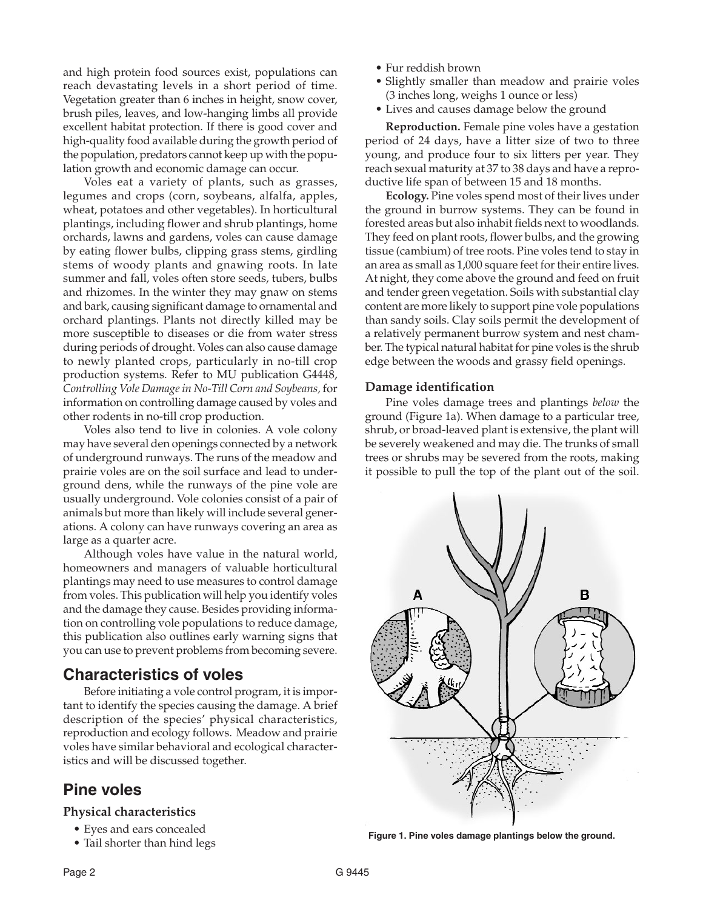and high protein food sources exist, populations can reach devastating levels in a short period of time. Vegetation greater than 6 inches in height, snow cover, brush piles, leaves, and low-hanging limbs all provide excellent habitat protection. If there is good cover and high-quality food available during the growth period of the population, predators cannot keep up with the population growth and economic damage can occur.

Voles eat a variety of plants, such as grasses, legumes and crops (corn, soybeans, alfalfa, apples, wheat, potatoes and other vegetables). In horticultural plantings, including flower and shrub plantings, home orchards, lawns and gardens, voles can cause damage by eating flower bulbs, clipping grass stems, girdling stems of woody plants and gnawing roots. In late summer and fall, voles often store seeds, tubers, bulbs and rhizomes. In the winter they may gnaw on stems and bark, causing significant damage to ornamental and orchard plantings. Plants not directly killed may be more susceptible to diseases or die from water stress during periods of drought. Voles can also cause damage to newly planted crops, particularly in no-till crop production systems. Refer to MU publication G4448, *Controlling Vole Damage in No-Till Corn and Soybeans,* for information on controlling damage caused by voles and other rodents in no-till crop production.

Voles also tend to live in colonies. A vole colony may have several den openings connected by a network of underground runways. The runs of the meadow and prairie voles are on the soil surface and lead to underground dens, while the runways of the pine vole are usually underground. Vole colonies consist of a pair of animals but more than likely will include several generations. A colony can have runways covering an area as large as a quarter acre.

Although voles have value in the natural world, homeowners and managers of valuable horticultural plantings may need to use measures to control damage from voles. This publication will help you identify voles and the damage they cause. Besides providing information on controlling vole populations to reduce damage, this publication also outlines early warning signs that you can use to prevent problems from becoming severe.

# **Characteristics of voles**

Before initiating a vole control program, it is important to identify the species causing the damage. A brief description of the species' physical characteristics, reproduction and ecology follows. Meadow and prairie voles have similar behavioral and ecological characteristics and will be discussed together.

# **Pine voles**

### **Physical characteristics**

- Eyes and ears concealed
- Tail shorter than hind legs
- Fur reddish brown
- Slightly smaller than meadow and prairie voles (3 inches long, weighs 1 ounce or less)
- Lives and causes damage below the ground

**Reproduction.** Female pine voles have a gestation period of 24 days, have a litter size of two to three young, and produce four to six litters per year. They reach sexual maturity at 37 to 38 days and have a reproductive life span of between 15 and 18 months.

**Ecology.** Pine voles spend most of their lives under the ground in burrow systems. They can be found in forested areas but also inhabit fields next to woodlands. They feed on plant roots, flower bulbs, and the growing tissue (cambium) of tree roots. Pine voles tend to stay in an area as small as 1,000 square feet for their entire lives. At night, they come above the ground and feed on fruit and tender green vegetation. Soils with substantial clay content are more likely to support pine vole populations than sandy soils. Clay soils permit the development of a relatively permanent burrow system and nest chamber. The typical natural habitat for pine voles is the shrub edge between the woods and grassy field openings.

# **Damage identification**

Pine voles damage trees and plantings *below* the ground (Figure 1a). When damage to a particular tree, shrub, or broad-leaved plant is extensive, the plant will be severely weakened and may die. The trunks of small trees or shrubs may be severed from the roots, making it possible to pull the top of the plant out of the soil.



**Figure 1. Pine voles damage plantings below the ground.**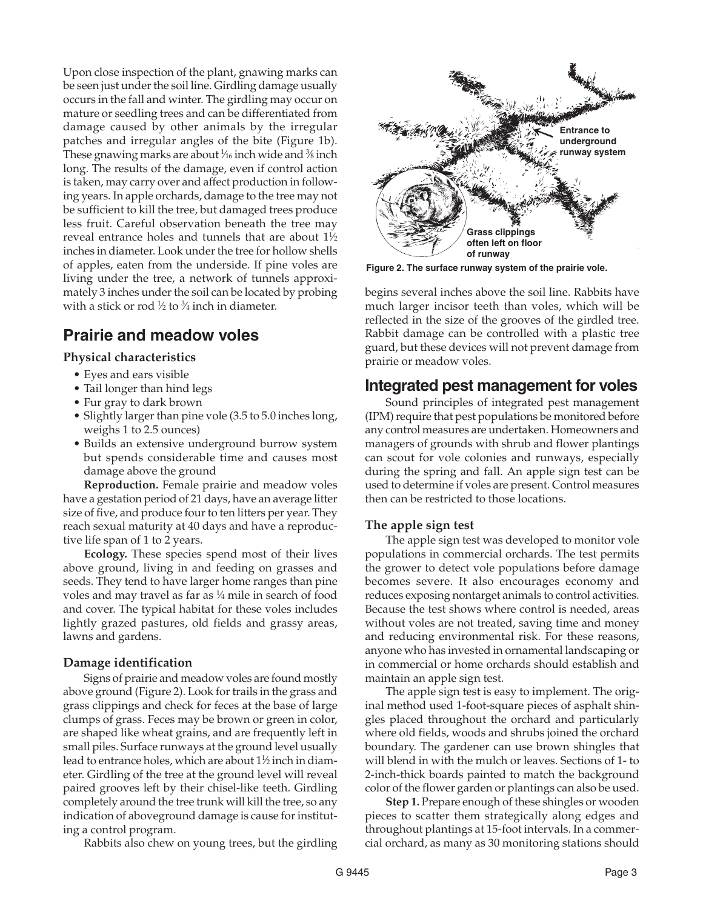Upon close inspection of the plant, gnawing marks can be seen just under the soil line. Girdling damage usually occurs in the fall and winter. The girdling may occur on mature or seedling trees and can be differentiated from damage caused by other animals by the irregular patches and irregular angles of the bite (Figure 1b). These gnawing marks are about 1 ⁄16 inch wide and 3 ⁄8 inch long. The results of the damage, even if control action is taken, may carry over and affect production in following years. In apple orchards, damage to the tree may not be sufficient to kill the tree, but damaged trees produce less fruit. Careful observation beneath the tree may reveal entrance holes and tunnels that are about 1½ inches in diameter. Look under the tree for hollow shells of apples, eaten from the underside. If pine voles are living under the tree, a network of tunnels approximately 3 inches under the soil can be located by probing with a stick or rod  $\frac{1}{2}$  to  $\frac{3}{4}$  inch in diameter.

# **Prairie and meadow voles**

# **Physical characteristics**

- Eyes and ears visible
- Tail longer than hind legs
- Fur gray to dark brown
- Slightly larger than pine vole (3.5 to 5.0 inches long, weighs 1 to 2.5 ounces)
- Builds an extensive underground burrow system but spends considerable time and causes most damage above the ground

**Reproduction.** Female prairie and meadow voles have a gestation period of 21 days, have an average litter size of five, and produce four to ten litters per year. They reach sexual maturity at 40 days and have a reproductive life span of 1 to 2 years.

**Ecology.** These species spend most of their lives above ground, living in and feeding on grasses and seeds. They tend to have larger home ranges than pine voles and may travel as far as  $\frac{1}{4}$  mile in search of food and cover. The typical habitat for these voles includes lightly grazed pastures, old fields and grassy areas, lawns and gardens.

# **Damage identification**

Signs of prairie and meadow voles are found mostly above ground (Figure 2). Look for trails in the grass and grass clippings and check for feces at the base of large clumps of grass. Feces may be brown or green in color, are shaped like wheat grains, and are frequently left in small piles. Surface runways at the ground level usually lead to entrance holes, which are about 11 ⁄2 inch in diameter. Girdling of the tree at the ground level will reveal paired grooves left by their chisel-like teeth. Girdling completely around the tree trunk will kill the tree, so any indication of aboveground damage is cause for instituting a control program.

Rabbits also chew on young trees, but the girdling



**Figure 2. The surface runway system of the prairie vole.**

begins several inches above the soil line. Rabbits have much larger incisor teeth than voles, which will be reflected in the size of the grooves of the girdled tree. Rabbit damage can be controlled with a plastic tree guard, but these devices will not prevent damage from prairie or meadow voles.

# **Integrated pest management for voles**

Sound principles of integrated pest management (IPM) require that pest populations be monitored before any control measures are undertaken. Homeowners and managers of grounds with shrub and flower plantings can scout for vole colonies and runways, especially during the spring and fall. An apple sign test can be used to determine if voles are present. Control measures then can be restricted to those locations.

# **The apple sign test**

The apple sign test was developed to monitor vole populations in commercial orchards. The test permits the grower to detect vole populations before damage becomes severe. It also encourages economy and reduces exposing nontarget animals to control activities. Because the test shows where control is needed, areas without voles are not treated, saving time and money and reducing environmental risk. For these reasons, anyone who has invested in ornamental landscaping or in commercial or home orchards should establish and maintain an apple sign test.

The apple sign test is easy to implement. The original method used 1-foot-square pieces of asphalt shingles placed throughout the orchard and particularly where old fields, woods and shrubs joined the orchard boundary. The gardener can use brown shingles that will blend in with the mulch or leaves. Sections of 1- to 2-inch-thick boards painted to match the background color of the flower garden or plantings can also be used.

**Step 1.** Prepare enough of these shingles or wooden pieces to scatter them strategically along edges and throughout plantings at 15-foot intervals. In a commercial orchard, as many as 30 monitoring stations should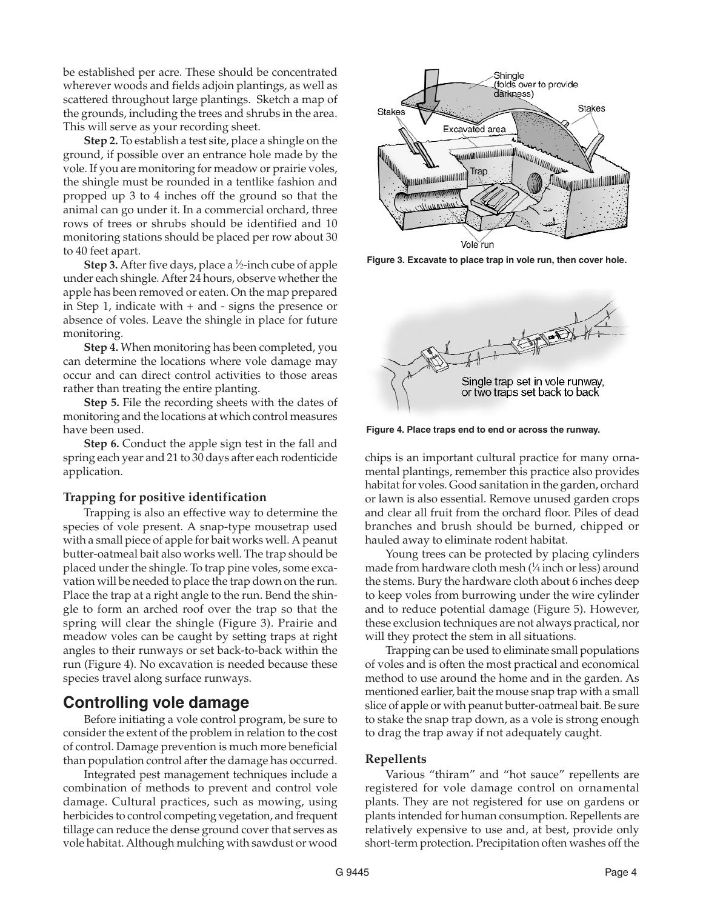be established per acre. These should be concentrated wherever woods and fields adjoin plantings, as well as scattered throughout large plantings. Sketch a map of the grounds, including the trees and shrubs in the area. This will serve as your recording sheet.

**Step 2.** To establish a test site, place a shingle on the ground, if possible over an entrance hole made by the vole. If you are monitoring for meadow or prairie voles, the shingle must be rounded in a tentlike fashion and propped up 3 to 4 inches off the ground so that the animal can go under it. In a commercial orchard, three rows of trees or shrubs should be identified and 10 monitoring stations should be placed per row about 30 to 40 feet apart.

**Step 3.** After five days, place a <sup>1</sup>/2-inch cube of apple under each shingle. After 24 hours, observe whether the apple has been removed or eaten. On the map prepared in Step 1, indicate with + and - signs the presence or absence of voles. Leave the shingle in place for future monitoring.

**Step 4.** When monitoring has been completed, you can determine the locations where vole damage may occur and can direct control activities to those areas rather than treating the entire planting.

**Step 5.** File the recording sheets with the dates of monitoring and the locations at which control measures have been used.

**Step 6.** Conduct the apple sign test in the fall and spring each year and 21 to 30 days after each rodenticide application.

#### **Trapping for positive identification**

Trapping is also an effective way to determine the species of vole present. A snap-type mousetrap used with a small piece of apple for bait works well. A peanut butter-oatmeal bait also works well. The trap should be placed under the shingle. To trap pine voles, some excavation will be needed to place the trap down on the run. Place the trap at a right angle to the run. Bend the shingle to form an arched roof over the trap so that the spring will clear the shingle (Figure 3). Prairie and meadow voles can be caught by setting traps at right angles to their runways or set back-to-back within the run (Figure 4). No excavation is needed because these species travel along surface runways.

# **Controlling vole damage**

Before initiating a vole control program, be sure to consider the extent of the problem in relation to the cost of control. Damage prevention is much more beneficial than population control after the damage has occurred.

Integrated pest management techniques include a combination of methods to prevent and control vole damage. Cultural practices, such as mowing, using herbicides to control competing vegetation, and frequent tillage can reduce the dense ground cover that serves as vole habitat. Although mulching with sawdust or wood



**Figure 3. Excavate to place trap in vole run, then cover hole.**



**Figure 4. Place traps end to end or across the runway.**

chips is an important cultural practice for many ornamental plantings, remember this practice also provides habitat for voles. Good sanitation in the garden, orchard or lawn is also essential. Remove unused garden crops and clear all fruit from the orchard floor. Piles of dead branches and brush should be burned, chipped or hauled away to eliminate rodent habitat.

Young trees can be protected by placing cylinders made from hardware cloth mesh (1 ⁄4 inch or less) around the stems. Bury the hardware cloth about 6 inches deep to keep voles from burrowing under the wire cylinder and to reduce potential damage (Figure 5). However, these exclusion techniques are not always practical, nor will they protect the stem in all situations.

Trapping can be used to eliminate small populations of voles and is often the most practical and economical method to use around the home and in the garden. As mentioned earlier, bait the mouse snap trap with a small slice of apple or with peanut butter-oatmeal bait. Be sure to stake the snap trap down, as a vole is strong enough to drag the trap away if not adequately caught.

#### **Repellents**

Various "thiram" and "hot sauce" repellents are registered for vole damage control on ornamental plants. They are not registered for use on gardens or plants intended for human consumption. Repellents are relatively expensive to use and, at best, provide only short-term protection. Precipitation often washes off the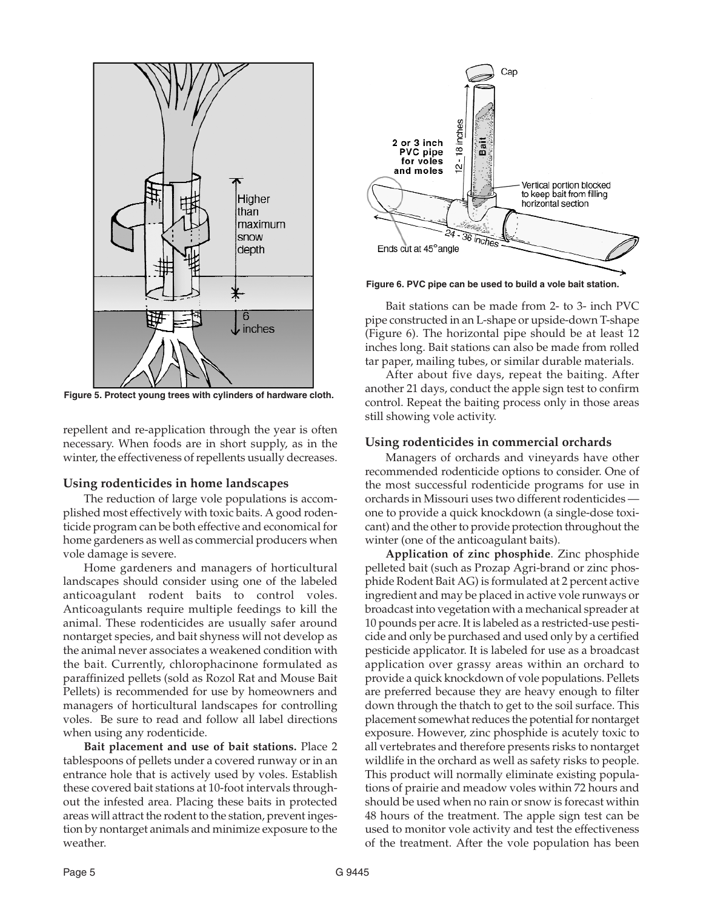

**Figure 5. Protect young trees with cylinders of hardware cloth.**

repellent and re-application through the year is often necessary. When foods are in short supply, as in the winter, the effectiveness of repellents usually decreases.

#### **Using rodenticides in home landscapes**

The reduction of large vole populations is accomplished most effectively with toxic baits. A good rodenticide program can be both effective and economical for home gardeners as well as commercial producers when vole damage is severe.

Home gardeners and managers of horticultural landscapes should consider using one of the labeled anticoagulant rodent baits to control voles. Anticoagulants require multiple feedings to kill the animal. These rodenticides are usually safer around nontarget species, and bait shyness will not develop as the animal never associates a weakened condition with the bait. Currently, chlorophacinone formulated as paraffinized pellets (sold as Rozol Rat and Mouse Bait Pellets) is recommended for use by homeowners and managers of horticultural landscapes for controlling voles. Be sure to read and follow all label directions when using any rodenticide.

**Bait placement and use of bait stations.** Place 2 tablespoons of pellets under a covered runway or in an entrance hole that is actively used by voles. Establish these covered bait stations at 10-foot intervals throughout the infested area. Placing these baits in protected areas will attract the rodent to the station, prevent ingestion by nontarget animals and minimize exposure to the weather.



**Figure 6. PVC pipe can be used to build a vole bait station.**

Bait stations can be made from 2- to 3- inch PVC pipe constructed in an L-shape or upside-down T-shape (Figure 6). The horizontal pipe should be at least 12 inches long. Bait stations can also be made from rolled tar paper, mailing tubes, or similar durable materials.

After about five days, repeat the baiting. After another 21 days, conduct the apple sign test to confirm control. Repeat the baiting process only in those areas still showing vole activity.

#### **Using rodenticides in commercial orchards**

Managers of orchards and vineyards have other recommended rodenticide options to consider. One of the most successful rodenticide programs for use in orchards in Missouri uses two different rodenticides one to provide a quick knockdown (a single-dose toxicant) and the other to provide protection throughout the winter (one of the anticoagulant baits).

**Application of zinc phosphide**. Zinc phosphide pelleted bait (such as Prozap Agri-brand or zinc phosphide Rodent Bait AG) is formulated at 2 percent active ingredient and may be placed in active vole runways or broadcast into vegetation with a mechanical spreader at 10 pounds per acre. It is labeled as a restricted-use pesticide and only be purchased and used only by a certified pesticide applicator. It is labeled for use as a broadcast application over grassy areas within an orchard to provide a quick knockdown of vole populations. Pellets are preferred because they are heavy enough to filter down through the thatch to get to the soil surface. This placement somewhat reduces the potential for nontarget exposure. However, zinc phosphide is acutely toxic to all vertebrates and therefore presents risks to nontarget wildlife in the orchard as well as safety risks to people. This product will normally eliminate existing populations of prairie and meadow voles within 72 hours and should be used when no rain or snow is forecast within 48 hours of the treatment. The apple sign test can be used to monitor vole activity and test the effectiveness of the treatment. After the vole population has been